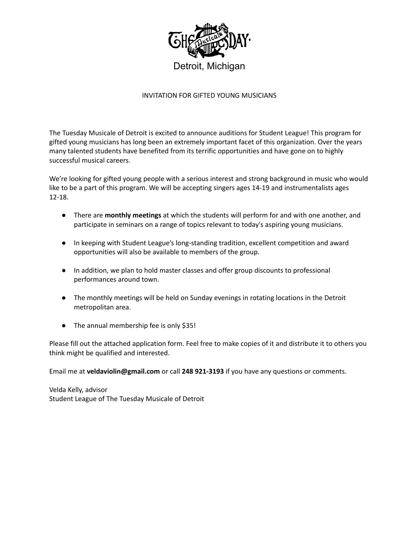

## INVITATION FOR GIFTED YOUNG MUSICIANS

The Tuesday Musicale of Detroit is excited to announce auditions for Student League! This program for gifted young musicians has long been an extremely important facet of this organization. Over the years many talented students have benefited from its terrific opportunities and have gone on to highly successful musical careers.

We're looking for gifted young people with a serious interest and strong background in music who would like to be a part of this program. We will be accepting singers ages 14-19 and instrumentalists ages 12-18.

- There are **monthly meetings** at which the students will perform for and with one another, and participate in seminars on a range of topics relevant to today's aspiring young musicians.
- In keeping with Student League's long-standing tradition, excellent competition and award opportunities will also be available to members of the group.
- In addition, we plan to hold master classes and offer group discounts to professional performances around town.
- The monthly meetings will be held on Sunday evenings in rotating locations in the Detroit metropolitan area.
- The annual membership fee is only \$35!

Please fill out the attached application form. Feel free to make copies of it and distribute it to others you think might be qualified and interested.

Email me at **[veldaviolin@gmail.com](mailto:veldaviolin@gmail.com)** or call **248 [921-3193](tel:%28248%20474-8930)** if you have any questions or comments.

Velda Kelly, advisor Student League of The Tuesday Musicale of Detroit